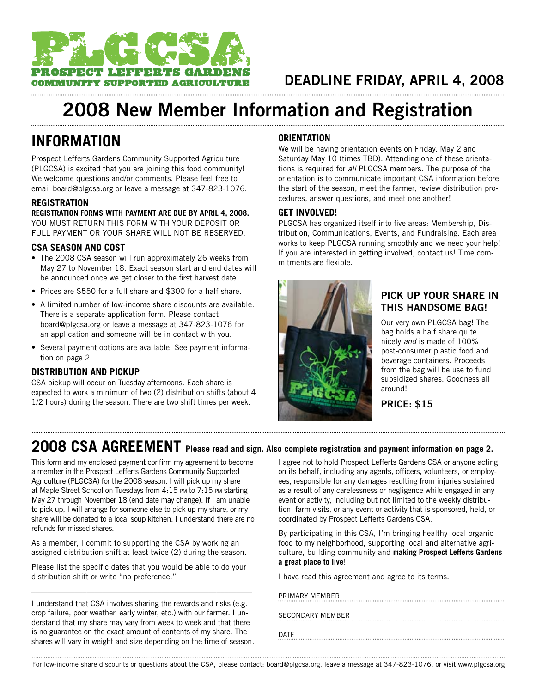

# **2008 New Member Information and Registration**

### **information**

Prospect Lefferts Gardens Community Supported Agriculture (PLGCSA) is excited that you are joining this food community! We welcome questions and/or comments. Please feel free to email board@plgcsa.org or leave a message at 347-823-1076.

### **REGISTRATION**

**REGISTRATION FORMS WITH PAYMENT ARE DUE BY APRIL 4, 2008.** YOU MUST RETURN THIS FORM WITH YOUR DEPOSIT OR FULL PAYMENT OR YOUR SHARE WILL NOT BE RESERVED.

### **CSA Season and Cost**

- The 2008 CSA season will run approximately 26 weeks from May 27 to November 18. Exact season start and end dates will be announced once we get closer to the first harvest date.
- Prices are \$550 for a full share and \$300 for a half share.
- A limited number of low-income share discounts are available. There is a separate application form. Please contact board@plgcsa.org or leave a message at 347-823-1076 for an application and someone will be in contact with you.
- Several payment options are available. See payment information on page 2.

### **distribution and pickup**

CSA pickup will occur on Tuesday afternoons. Each share is expected to work a minimum of two (2) distribution shifts (about 4 1/2 hours) during the season. There are two shift times per week.

### **Orientation**

We will be having orientation events on Friday, May 2 and Saturday May 10 (times TBD). Attending one of these orientations is required for *all* PLGCSA members. The purpose of the orientation is to communicate important CSA information before the start of the season, meet the farmer, review distribution procedures, answer questions, and meet one another!

#### **Get involved!**

PLGCSA has organized itself into five areas: Membership, Distribution, Communications, Events, and Fundraising. Each area works to keep PLGCSA running smoothly and we need your help! If you are interested in getting involved, contact us! Time commitments are flexible.



### **Pick Up Your Share in this Handsome Bag!**

Our very own PLGCSA bag! The bag holds a half share quite nicely *and* is made of 100% post-consumer plastic food and beverage containers. Proceeds from the bag will be use to fund subsidized shares. Goodness all around!

**Price: \$15**

## **2008 CSA AGREEMENT Please read and sign. Also complete registration and payment information on page 2.**

This form and my enclosed payment confirm my agreement to become a member in the Prospect Lefferts Gardens Community Supported Agriculture (PLGCSA) for the 2008 season. I will pick up my share at Maple Street School on Tuesdays from 4:15 pm to 7:15 pm starting May 27 through November 18 (end date may change). If I am unable to pick up, I will arrange for someone else to pick up my share, or my share will be donated to a local soup kitchen. I understand there are no refunds for missed shares.

As a member, I commit to supporting the CSA by working an assigned distribution shift at least twice (2) during the season.

Please list the specific dates that you would be able to do your distribution shift or write "no preference."

\_\_\_\_\_\_\_\_\_\_\_\_\_\_\_\_\_\_\_\_\_\_\_\_\_\_\_\_\_\_\_\_\_\_\_\_\_\_\_\_\_\_\_\_\_\_\_\_\_\_\_\_\_\_\_\_

I understand that CSA involves sharing the rewards and risks (e.g. crop failure, poor weather, early winter, etc.) with our farmer. I understand that my share may vary from week to week and that there is no guarantee on the exact amount of contents of my share. The shares will vary in weight and size depending on the time of season.

I agree not to hold Prospect Lefferts Gardens CSA or anyone acting on its behalf, including any agents, officers, volunteers, or employees, responsible for any damages resulting from injuries sustained as a result of any carelessness or negligence while engaged in any event or activity, including but not limited to the weekly distribution, farm visits, or any event or activity that is sponsored, held, or coordinated by Prospect Lefferts Gardens CSA.

By participating in this CSA, I'm bringing healthy local organic food to my neighborhood, supporting local and alternative agriculture, building community and **making Prospect Lefferts Gardens a great place to live**!

I have read this agreement and agree to its terms.

Primary member

| SECONDARY MEMBER |  |  |
|------------------|--|--|
|                  |  |  |

Date